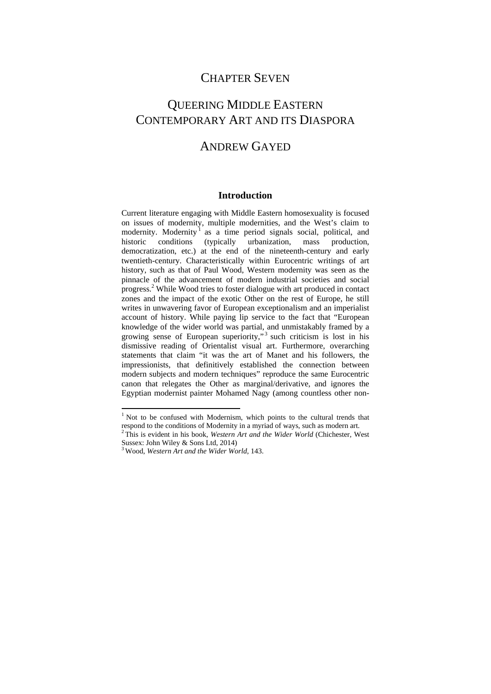### CHAPTER SEVEN

# QUEERING MIDDLE EASTERN CONTEMPORARY ART AND ITS DIASPORA

## ANDREW GAYED

### **Introduction**

Current literature engaging with Middle Eastern homosexuality is focused on issues of modernity, multiple modernities, and the West's claim to modernity. Modernity<sup>1</sup> as a time period signals social, political, and historic conditions (typically urbanization, mass production, democratization, etc.) at the end of the nineteenth-century and early twentieth-century. Characteristically within Eurocentric writings of art history, such as that of Paul Wood, Western modernity was seen as the pinnacle of the advancement of modern industrial societies and social progress.<sup>2</sup> While Wood tries to foster dialogue with art produced in contact zones and the impact of the exotic Other on the rest of Europe, he still writes in unwavering favor of European exceptionalism and an imperialist account of history. While paying lip service to the fact that "European knowledge of the wider world was partial, and unmistakably framed by a growing sense of European superiority,"<sup>3</sup> such criticism is lost in his dismissive reading of Orientalist visual art. Furthermore, overarching statements that claim "it was the art of Manet and his followers, the impressionists, that definitively established the connection between modern subjects and modern techniques" reproduce the same Eurocentric canon that relegates the Other as marginal/derivative, and ignores the Egyptian modernist painter Mohamed Nagy (among countless other non-

<sup>&</sup>lt;sup>1</sup> Not to be confused with Modernism, which points to the cultural trends that respond to the conditions of Modernity in a myriad of ways, such as modern art. 2 This is evident in his book, *Western Art and the Wider World* (Chichester, West

Sussex: John Wiley & Sons Ltd, 2014)

<sup>3</sup> Wood, *Western Art and the Wider World*, 143.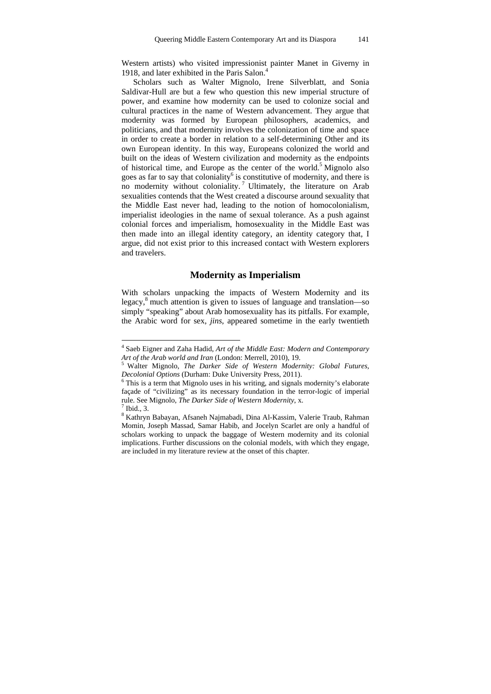Western artists) who visited impressionist painter Manet in Giverny in 1918, and later exhibited in the Paris Salon.<sup>4</sup>

Scholars such as Walter Mignolo, Irene Silverblatt, and Sonia Saldivar-Hull are but a few who question this new imperial structure of power, and examine how modernity can be used to colonize social and cultural practices in the name of Western advancement. They argue that modernity was formed by European philosophers, academics, and politicians, and that modernity involves the colonization of time and space in order to create a border in relation to a self-determining Other and its own European identity. In this way, Europeans colonized the world and built on the ideas of Western civilization and modernity as the endpoints of historical time, and Europe as the center of the world.<sup>5</sup> Mignolo also goes as far to say that coloniality<sup>6</sup> is constitutive of modernity, and there is no modernity without coloniality.<sup>7</sup> Ultimately, the literature on Arab sexualities contends that the West created a discourse around sexuality that the Middle East never had, leading to the notion of homocolonialism, imperialist ideologies in the name of sexual tolerance. As a push against colonial forces and imperialism, homosexuality in the Middle East was then made into an illegal identity category, an identity category that, I argue, did not exist prior to this increased contact with Western explorers and travelers.

### **Modernity as Imperialism**

With scholars unpacking the impacts of Western Modernity and its legacy,<sup>8</sup> much attention is given to issues of language and translation—so simply "speaking" about Arab homosexuality has its pitfalls. For example, the Arabic word for sex, *jins*, appeared sometime in the early twentieth

 $\overline{a}$ 

<sup>4</sup> Saeb Eigner and Zaha Hadid, *Art of the Middle East: Modern and Contemporary Art of the Arab world and Iran* (London: Merrell, 2010), 19. 5 Walter Mignolo, *The Darker Side of Western Modernity: Global Futures,* 

*Decolonial Options* (Durham: Duke University Press, 2011).

 $6$  This is a term that Mignolo uses in his writing, and signals modernity's elaborate façade of "civilizing" as its necessary foundation in the terror-logic of imperial rule. See Mignolo, *The Darker Side of Western Modernity*, x. 7

 $<sup>7</sup>$  Ibid., 3.</sup>

<sup>&</sup>lt;sup>8</sup> Kathryn Babayan, Afsaneh Najmabadi, Dina Al-Kassim, Valerie Traub, Rahman Momin, Joseph Massad, Samar Habib, and Jocelyn Scarlet are only a handful of scholars working to unpack the baggage of Western modernity and its colonial implications. Further discussions on the colonial models, with which they engage, are included in my literature review at the onset of this chapter.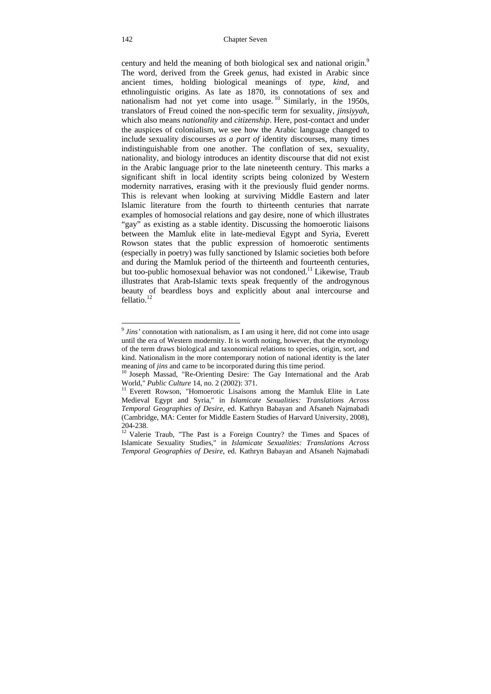century and held the meaning of both biological sex and national origin.<sup>9</sup> The word, derived from the Greek *genus*, had existed in Arabic since ancient times, holding biological meanings of *type*, *kind*, and ethnolinguistic origins. As late as 1870, its connotations of sex and nationalism had not yet come into usage.  $^{10}$  Similarly, in the 1950s, translators of Freud coined the non-specific term for sexuality, *jinsiyyah*, which also means *nationality* and *citizenship*. Here, post-contact and under the auspices of colonialism, we see how the Arabic language changed to include sexuality discourses *as a part of* identity discourses, many times indistinguishable from one another. The conflation of sex, sexuality, nationality, and biology introduces an identity discourse that did not exist in the Arabic language prior to the late nineteenth century. This marks a significant shift in local identity scripts being colonized by Western modernity narratives, erasing with it the previously fluid gender norms. This is relevant when looking at surviving Middle Eastern and later Islamic literature from the fourth to thirteenth centuries that narrate examples of homosocial relations and gay desire, none of which illustrates "gay" as existing as a stable identity. Discussing the homoerotic liaisons between the Mamluk elite in late-medieval Egypt and Syria, Everett Rowson states that the public expression of homoerotic sentiments (especially in poetry) was fully sanctioned by Islamic societies both before and during the Mamluk period of the thirteenth and fourteenth centuries, but too-public homosexual behavior was not condoned.<sup>11</sup> Likewise. Traub illustrates that Arab-Islamic texts speak frequently of the androgynous beauty of beardless boys and explicitly about anal intercourse and fellatio<sup>12</sup>

 $\overline{a}$ <sup>9</sup> *Jins'* connotation with nationalism, as I am using it here, did not come into usage until the era of Western modernity. It is worth noting, however, that the etymology of the term draws biological and taxonomical relations to species, origin, sort, and kind. Nationalism in the more contemporary notion of national identity is the later

meaning of *jins* and came to be incorporated during this time period.<br><sup>10</sup> Joseph Massad, "Re-Orienting Desire: The Gay International and the Arab World," *Public Culture* 14, no. 2 (2002): 371.

<sup>&</sup>lt;sup>11</sup> Everett Rowson, "Homoerotic Lisaisons among the Mamluk Elite in Late Medieval Egypt and Syria," in *Islamicate Sexualities: Translations Across Temporal Geographies of Desire*, ed. Kathryn Babayan and Afsaneh Najmabadi (Cambridge, MA: Center for Middle Eastern Studies of Harvard University, 2008), 204-238.

<sup>&</sup>lt;sup>12</sup> Valerie Traub, "The Past is a Foreign Country? the Times and Spaces of Islamicate Sexuality Studies," in *Islamicate Sexualities: Translations Across Temporal Geographies of Desire*, ed. Kathryn Babayan and Afsaneh Najmabadi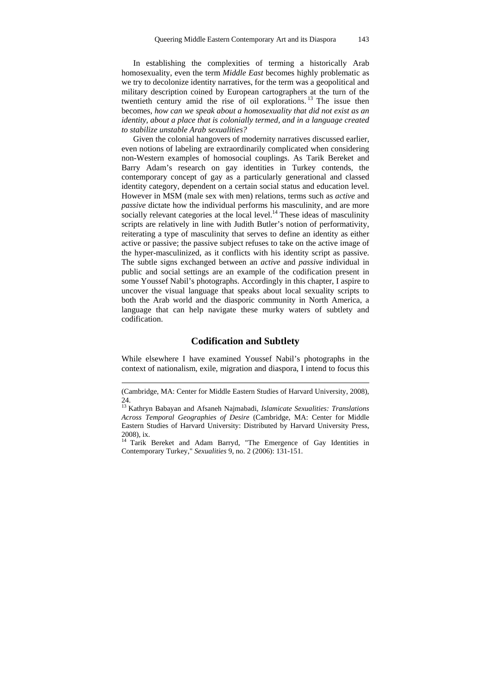In establishing the complexities of terming a historically Arab homosexuality, even the term *Middle East* becomes highly problematic as we try to decolonize identity narratives, for the term was a geopolitical and military description coined by European cartographers at the turn of the twentieth century amid the rise of oil explorations. 13 The issue then becomes, *how can we speak about a homosexuality that did not exist as an identity, about a place that is colonially termed, and in a language created to stabilize unstable Arab sexualities?*

Given the colonial hangovers of modernity narratives discussed earlier, even notions of labeling are extraordinarily complicated when considering non-Western examples of homosocial couplings. As Tarik Bereket and Barry Adam's research on gay identities in Turkey contends, the contemporary concept of gay as a particularly generational and classed identity category, dependent on a certain social status and education level. However in MSM (male sex with men) relations, terms such as *active* and *passive* dictate how the individual performs his masculinity, and are more socially relevant categories at the local level.<sup>14</sup> These ideas of masculinity scripts are relatively in line with Judith Butler's notion of performativity, reiterating a type of masculinity that serves to define an identity as either active or passive; the passive subject refuses to take on the active image of the hyper-masculinized, as it conflicts with his identity script as passive. The subtle signs exchanged between an *active* and *passive* individual in public and social settings are an example of the codification present in some Youssef Nabil's photographs. Accordingly in this chapter, I aspire to uncover the visual language that speaks about local sexuality scripts to both the Arab world and the diasporic community in North America, a language that can help navigate these murky waters of subtlety and codification.

#### **Codification and Subtlety**

While elsewhere I have examined Youssef Nabil's photographs in the context of nationalism, exile, migration and diaspora, I intend to focus this

 $\overline{a}$ 

<sup>(</sup>Cambridge, MA: Center for Middle Eastern Studies of Harvard University, 2008), 24.

<sup>13</sup> Kathryn Babayan and Afsaneh Najmabadi, *Islamicate Sexualities: Translations Across Temporal Geographies of Desire* (Cambridge, MA: Center for Middle Eastern Studies of Harvard University: Distributed by Harvard University Press, 2008), ix.

<sup>&</sup>lt;sup>14</sup> Tarik Bereket and Adam Barryd, "The Emergence of Gay Identities in Contemporary Turkey," *Sexualities* 9, no. 2 (2006): 131-151.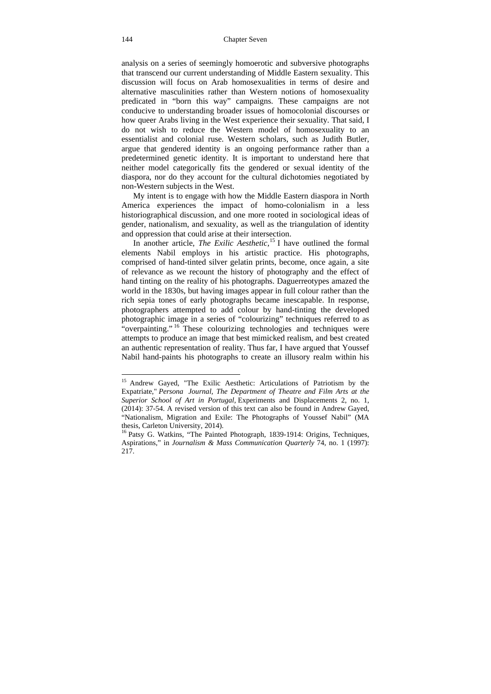analysis on a series of seemingly homoerotic and subversive photographs that transcend our current understanding of Middle Eastern sexuality. This discussion will focus on Arab homosexualities in terms of desire and alternative masculinities rather than Western notions of homosexuality predicated in "born this way" campaigns. These campaigns are not conducive to understanding broader issues of homocolonial discourses or how queer Arabs living in the West experience their sexuality. That said, I do not wish to reduce the Western model of homosexuality to an essentialist and colonial ruse. Western scholars, such as Judith Butler, argue that gendered identity is an ongoing performance rather than a predetermined genetic identity. It is important to understand here that neither model categorically fits the gendered or sexual identity of the diaspora, nor do they account for the cultural dichotomies negotiated by non-Western subjects in the West.

My intent is to engage with how the Middle Eastern diaspora in North America experiences the impact of homo-colonialism in a less historiographical discussion, and one more rooted in sociological ideas of gender, nationalism, and sexuality, as well as the triangulation of identity and oppression that could arise at their intersection.

In another article, *The Exilic Aesthetic,*15 I have outlined the formal elements Nabil employs in his artistic practice. His photographs, comprised of hand-tinted silver gelatin prints, become, once again, a site of relevance as we recount the history of photography and the effect of hand tinting on the reality of his photographs. Daguerreotypes amazed the world in the 1830s, but having images appear in full colour rather than the rich sepia tones of early photographs became inescapable. In response, photographers attempted to add colour by hand-tinting the developed photographic image in a series of "colourizing" techniques referred to as "overpainting." <sup>16</sup> These colourizing technologies and techniques were attempts to produce an image that best mimicked realism, and best created an authentic representation of reality. Thus far, I have argued that Youssef Nabil hand-paints his photographs to create an illusory realm within his

<sup>&</sup>lt;sup>15</sup> Andrew Gayed, "The Exilic Aesthetic: Articulations of Patriotism by the Expatriate," *Persona Journal, The Department of Theatre and Film Arts at the Superior School of Art in Portugal,* Experiments and Displacements 2, no. 1, (2014): 37-54. A revised version of this text can also be found in Andrew Gayed, "Nationalism, Migration and Exile: The Photographs of Youssef Nabil" (MA thesis, Carleton University, 2014).

<sup>&</sup>lt;sup>16</sup> Patsy G. Watkins, "The Painted Photograph, 1839-1914: Origins, Techniques, Aspirations," in *Journalism & Mass Communication Quarterly* 74, no. 1 (1997): 217.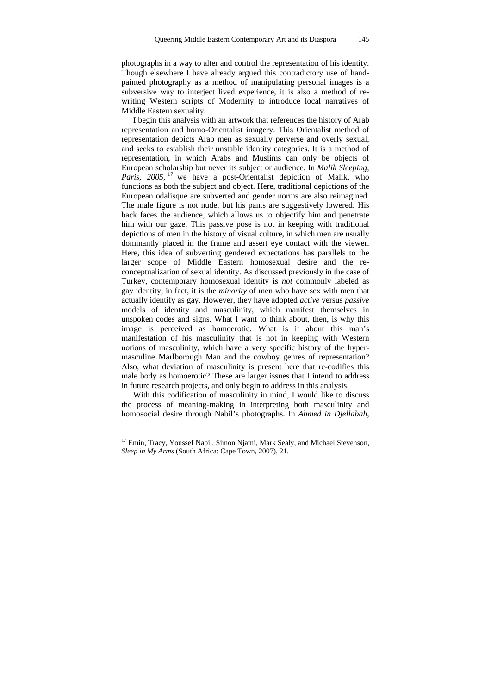photographs in a way to alter and control the representation of his identity. Though elsewhere I have already argued this contradictory use of handpainted photography as a method of manipulating personal images is a subversive way to interject lived experience, it is also a method of rewriting Western scripts of Modernity to introduce local narratives of Middle Eastern sexuality.

I begin this analysis with an artwork that references the history of Arab representation and homo-Orientalist imagery. This Orientalist method of representation depicts Arab men as sexually perverse and overly sexual, and seeks to establish their unstable identity categories. It is a method of representation, in which Arabs and Muslims can only be objects of European scholarship but never its subject or audience. In *Malik Sleeping, Paris, 2005,* <sup>17</sup> we have a post-Orientalist depiction of Malik, who functions as both the subject and object. Here, traditional depictions of the European odalisque are subverted and gender norms are also reimagined. The male figure is not nude, but his pants are suggestively lowered. His back faces the audience, which allows us to objectify him and penetrate him with our gaze. This passive pose is not in keeping with traditional depictions of men in the history of visual culture, in which men are usually dominantly placed in the frame and assert eye contact with the viewer. Here, this idea of subverting gendered expectations has parallels to the larger scope of Middle Eastern homosexual desire and the reconceptualization of sexual identity. As discussed previously in the case of Turkey, contemporary homosexual identity is *not* commonly labeled as gay identity; in fact, it is the *minority* of men who have sex with men that actually identify as gay. However, they have adopted *active* versus *passive* models of identity and masculinity, which manifest themselves in unspoken codes and signs. What I want to think about, then, is why this image is perceived as homoerotic. What is it about this man's manifestation of his masculinity that is not in keeping with Western notions of masculinity, which have a very specific history of the hypermasculine Marlborough Man and the cowboy genres of representation? Also, what deviation of masculinity is present here that re-codifies this male body as homoerotic? These are larger issues that I intend to address in future research projects, and only begin to address in this analysis.

With this codification of masculinity in mind, I would like to discuss the process of meaning-making in interpreting both masculinity and homosocial desire through Nabil's photographs. In *Ahmed in Djellabah,* 

<sup>&</sup>lt;sup>17</sup> Emin, Tracy, Youssef Nabil, Simon Njami, Mark Sealy, and Michael Stevenson, *Sleep in My Arms* (South Africa: Cape Town, 2007), 21.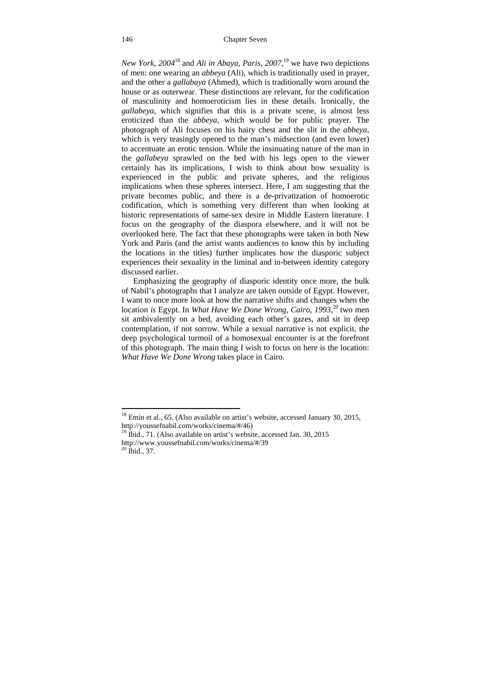#### 146 Chapter Seven

*New York, 2004*<sup>18</sup> and *Ali in Abaya, Paris, 2007,*19 we have two depictions of men: one wearing an *abbeya* (Ali), which is traditionally used in prayer, and the other a *gallabaya* (Ahmed), which is traditionally worn around the house or as outerwear. These distinctions are relevant, for the codification of masculinity and homoeroticism lies in these details. Ironically, the *gallabeya*, which signifies that this is a private scene, is almost less eroticized than the *abbeya,* which would be for public prayer. The photograph of Ali focuses on his hairy chest and the slit in the *abbeya,* which is very teasingly opened to the man's midsection (and even lower) to accentuate an erotic tension. While the insinuating nature of the man in the *gallabeya* sprawled on the bed with his legs open to the viewer certainly has its implications, I wish to think about how sexuality is experienced in the public and private spheres, and the religious implications when these spheres intersect. Here, I am suggesting that the private becomes public, and there is a de-privatization of homoerotic codification, which is something very different than when looking at historic representations of same-sex desire in Middle Eastern literature. I focus on the geography of the diaspora elsewhere, and it will not be overlooked here. The fact that these photographs were taken in both New York and Paris (and the artist wants audiences to know this by including the locations in the titles) further implicates how the diasporic subject experiences their sexuality in the liminal and in-between identity category discussed earlier.

Emphasizing the geography of diasporic identity once more, the bulk of Nabil's photographs that I analyze are taken outside of Egypt. However, I want to once more look at how the narrative shifts and changes when the location *is* Egypt. In *What Have We Done Wrong, Cairo, 1993*, 20 two men sit ambivalently on a bed, avoiding each other's gazes, and sit in deep contemplation, if not sorrow. While a sexual narrative is not explicit, the deep psychological turmoil of a homosexual encounter is at the forefront of this photograph. The main thing I wish to focus on here is the location: *What Have We Done Wrong* takes place in Cairo.

 $18$  Emin et al., 65. (Also available on artist's website, accessed January 30, 2015, http://youssefnabil.com/works/cinema/#/46)

 $19$  Ibid., 71. (Also available on artist's website, accessed Jan. 30, 2015 http://www.youssefnabil.com/works/cinema/#/39 20 Ibid., 37.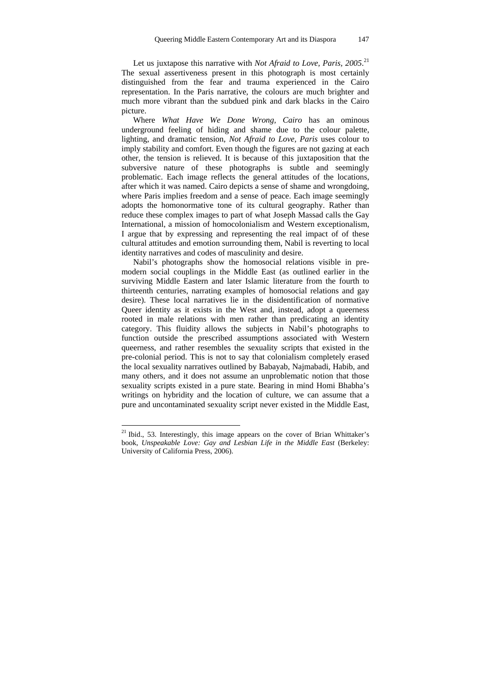Let us juxtapose this narrative with *Not Afraid to Love, Paris, 2005*<sup>21</sup> The sexual assertiveness present in this photograph is most certainly distinguished from the fear and trauma experienced in the Cairo representation. In the Paris narrative, the colours are much brighter and much more vibrant than the subdued pink and dark blacks in the Cairo picture.

Where *What Have We Done Wrong, Cairo* has an ominous underground feeling of hiding and shame due to the colour palette, lighting, and dramatic tension, *Not Afraid to Love, Paris* uses colour to imply stability and comfort. Even though the figures are not gazing at each other, the tension is relieved. It is because of this juxtaposition that the subversive nature of these photographs is subtle and seemingly problematic. Each image reflects the general attitudes of the locations, after which it was named. Cairo depicts a sense of shame and wrongdoing, where Paris implies freedom and a sense of peace. Each image seemingly adopts the homonormative tone of its cultural geography. Rather than reduce these complex images to part of what Joseph Massad calls the Gay International, a mission of homocolonialism and Western exceptionalism, I argue that by expressing and representing the real impact of of these cultural attitudes and emotion surrounding them, Nabil is reverting to local identity narratives and codes of masculinity and desire.

Nabil's photographs show the homosocial relations visible in premodern social couplings in the Middle East (as outlined earlier in the surviving Middle Eastern and later Islamic literature from the fourth to thirteenth centuries, narrating examples of homosocial relations and gay desire). These local narratives lie in the disidentification of normative Queer identity as it exists in the West and, instead, adopt a queerness rooted in male relations with men rather than predicating an identity category. This fluidity allows the subjects in Nabil's photographs to function outside the prescribed assumptions associated with Western queerness, and rather resembles the sexuality scripts that existed in the pre-colonial period. This is not to say that colonialism completely erased the local sexuality narratives outlined by Babayab, Najmabadi, Habib, and many others, and it does not assume an unproblematic notion that those sexuality scripts existed in a pure state. Bearing in mind Homi Bhabha's writings on hybridity and the location of culture, we can assume that a pure and uncontaminated sexuality script never existed in the Middle East,

<sup>&</sup>lt;sup>21</sup> Ibid., 53. Interestingly, this image appears on the cover of Brian Whittaker's book, *Unspeakable Love: Gay and Lesbian Life in the Middle East* (Berkeley: University of California Press, 2006).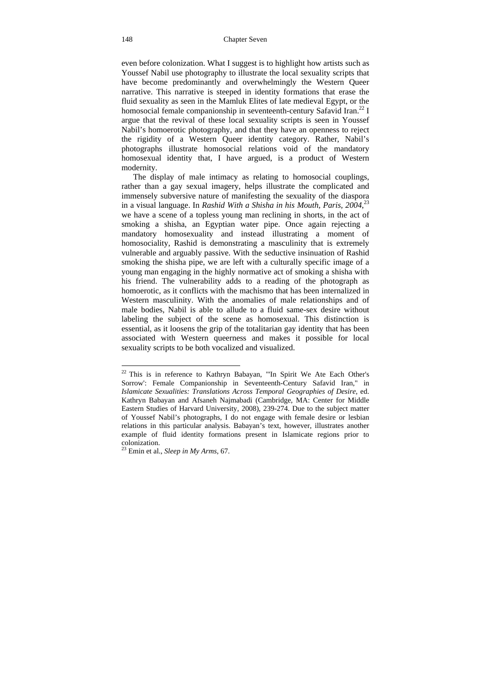even before colonization. What I suggest is to highlight how artists such as Youssef Nabil use photography to illustrate the local sexuality scripts that have become predominantly and overwhelmingly the Western Queer narrative. This narrative is steeped in identity formations that erase the fluid sexuality as seen in the Mamluk Elites of late medieval Egypt, or the homosocial female companionship in seventeenth-century Safavid Iran.<sup>22</sup> I argue that the revival of these local sexuality scripts is seen in Youssef Nabil's homoerotic photography, and that they have an openness to reject the rigidity of a Western Queer identity category. Rather, Nabil's photographs illustrate homosocial relations void of the mandatory homosexual identity that, I have argued, is a product of Western modernity.

The display of male intimacy as relating to homosocial couplings, rather than a gay sexual imagery, helps illustrate the complicated and immensely subversive nature of manifesting the sexuality of the diaspora in a visual language. In *Rashid With a Shisha in his Mouth, Paris, 2004*,<sup>23</sup> we have a scene of a topless young man reclining in shorts, in the act of smoking a shisha, an Egyptian water pipe. Once again rejecting a mandatory homosexuality and instead illustrating a moment of homosociality, Rashid is demonstrating a masculinity that is extremely vulnerable and arguably passive. With the seductive insinuation of Rashid smoking the shisha pipe, we are left with a culturally specific image of a young man engaging in the highly normative act of smoking a shisha with his friend. The vulnerability adds to a reading of the photograph as homoerotic, as it conflicts with the machismo that has been internalized in Western masculinity. With the anomalies of male relationships and of male bodies, Nabil is able to allude to a fluid same-sex desire without labeling the subject of the scene as homosexual. This distinction is essential, as it loosens the grip of the totalitarian gay identity that has been associated with Western queerness and makes it possible for local sexuality scripts to be both vocalized and visualized.

 $22$  This is in reference to Kathryn Babayan, "In Spirit We Ate Each Other's Sorrow': Female Companionship in Seventeenth-Century Safavid Iran," in *Islamicate Sexualities: Translations Across Temporal Geographies of Desire*, ed. Kathryn Babayan and Afsaneh Najmabadi (Cambridge, MA: Center for Middle Eastern Studies of Harvard University, 2008), 239-274. Due to the subject matter of Youssef Nabil's photographs, I do not engage with female desire or lesbian relations in this particular analysis. Babayan's text, however, illustrates another example of fluid identity formations present in Islamicate regions prior to colonization.

<sup>23</sup> Emin et al., *Sleep in My Arms*, 67.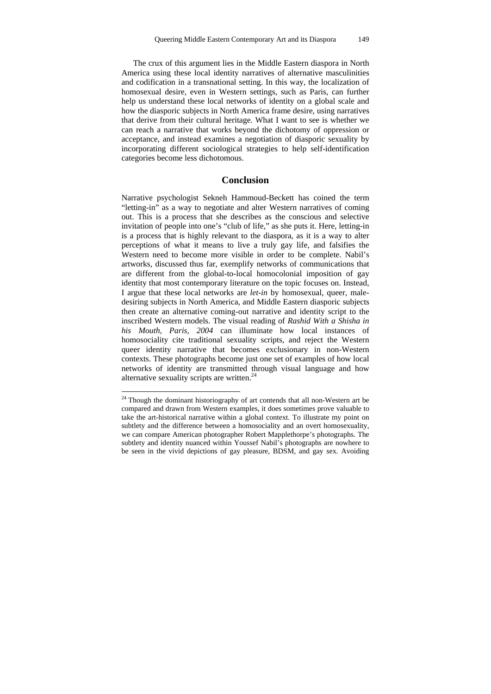The crux of this argument lies in the Middle Eastern diaspora in North America using these local identity narratives of alternative masculinities and codification in a transnational setting. In this way, the localization of homosexual desire, even in Western settings, such as Paris, can further help us understand these local networks of identity on a global scale and how the diasporic subjects in North America frame desire, using narratives that derive from their cultural heritage. What I want to see is whether we can reach a narrative that works beyond the dichotomy of oppression or acceptance, and instead examines a negotiation of diasporic sexuality by incorporating different sociological strategies to help self-identification categories become less dichotomous.

#### **Conclusion**

Narrative psychologist Sekneh Hammoud-Beckett has coined the term "letting-in" as a way to negotiate and alter Western narratives of coming out. This is a process that she describes as the conscious and selective invitation of people into one's "club of life," as she puts it. Here, letting-in is a process that is highly relevant to the diaspora, as it is a way to alter perceptions of what it means to live a truly gay life, and falsifies the Western need to become more visible in order to be complete. Nabil's artworks, discussed thus far, exemplify networks of communications that are different from the global-to-local homocolonial imposition of gay identity that most contemporary literature on the topic focuses on. Instead, I argue that these local networks are *let-in* by homosexual, queer, maledesiring subjects in North America, and Middle Eastern diasporic subjects then create an alternative coming-out narrative and identity script to the inscribed Western models. The visual reading of *Rashid With a Shisha in his Mouth, Paris, 2004* can illuminate how local instances of homosociality cite traditional sexuality scripts, and reject the Western queer identity narrative that becomes exclusionary in non-Western contexts. These photographs become just one set of examples of how local networks of identity are transmitted through visual language and how alternative sexuality scripts are written. $24$ 

 $24$  Though the dominant historiography of art contends that all non-Western art be compared and drawn from Western examples, it does sometimes prove valuable to take the art-historical narrative within a global context. To illustrate my point on subtlety and the difference between a homosociality and an overt homosexuality, we can compare American photographer Robert Mapplethorpe's photographs. The subtlety and identity nuanced within Youssef Nabil's photographs are nowhere to be seen in the vivid depictions of gay pleasure, BDSM, and gay sex. Avoiding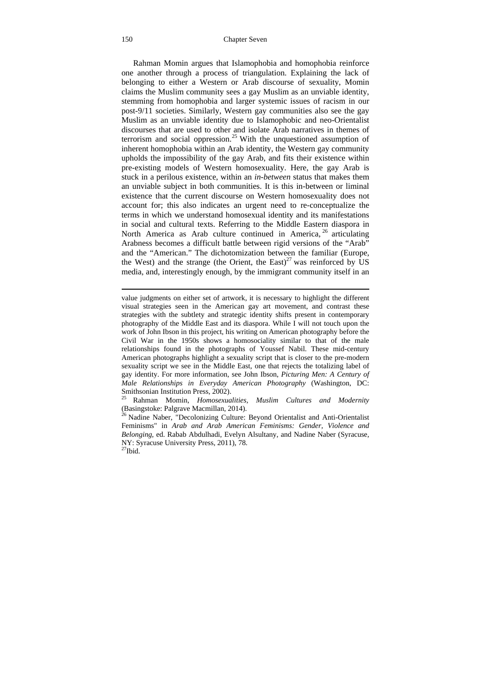Rahman Momin argues that Islamophobia and homophobia reinforce one another through a process of triangulation. Explaining the lack of belonging to either a Western or Arab discourse of sexuality, Momin claims the Muslim community sees a gay Muslim as an unviable identity, stemming from homophobia and larger systemic issues of racism in our post-9/11 societies. Similarly, Western gay communities also see the gay Muslim as an unviable identity due to Islamophobic and neo-Orientalist discourses that are used to other and isolate Arab narratives in themes of terrorism and social oppression.<sup>25</sup> With the unquestioned assumption of inherent homophobia within an Arab identity, the Western gay community upholds the impossibility of the gay Arab, and fits their existence within pre-existing models of Western homosexuality. Here, the gay Arab is stuck in a perilous existence, within an *in-between* status that makes them an unviable subject in both communities. It is this in-between or liminal existence that the current discourse on Western homosexuality does not account for; this also indicates an urgent need to re-conceptualize the terms in which we understand homosexual identity and its manifestations in social and cultural texts. Referring to the Middle Eastern diaspora in North America as Arab culture continued in America, <sup>26</sup> articulating Arabness becomes a difficult battle between rigid versions of the "Arab" and the "American." The dichotomization between the familiar (Europe, the West) and the strange (the Orient, the East)<sup>27</sup> was reinforced by US media, and, interestingly enough, by the immigrant community itself in an

value judgments on either set of artwork, it is necessary to highlight the different visual strategies seen in the American gay art movement, and contrast these strategies with the subtlety and strategic identity shifts present in contemporary photography of the Middle East and its diaspora. While I will not touch upon the work of John Ibson in this project, his writing on American photography before the Civil War in the 1950s shows a homosociality similar to that of the male relationships found in the photographs of Youssef Nabil. These mid-century American photographs highlight a sexuality script that is closer to the pre-modern sexuality script we see in the Middle East, one that rejects the totalizing label of gay identity. For more information, see John Ibson, *Picturing Men: A Century of Male Relationships in Everyday American Photography* (Washington, DC: Smithsonian Institution Press, 2002). 25 Rahman Momin, *Homosexualities, Muslim Cultures and Modernity* 

<sup>(</sup>Basingstoke: Palgrave Macmillan, 2014). 26 Nadine Naber, "Decolonizing Culture: Beyond Orientalist and Anti-Orientalist

Feminisms" in *Arab and Arab American Feminisms: Gender, Violence and Belonging*, ed. Rabab Abdulhadi, Evelyn Alsultany, and Nadine Naber (Syracuse, NY: Syracuse University Press, 2011), 78.  $^{27}$ Ibid.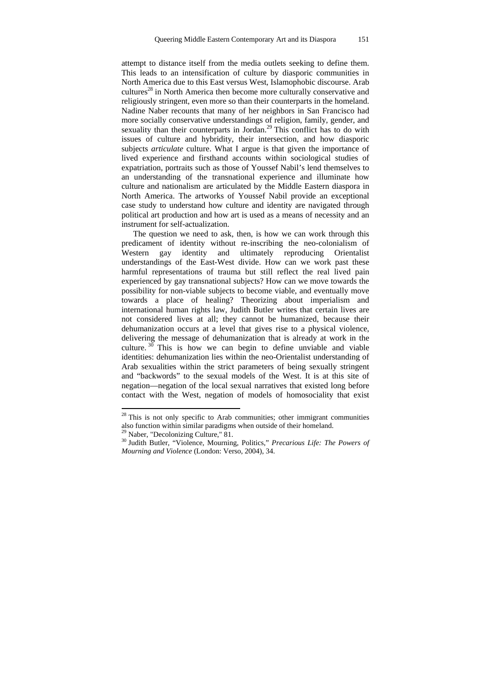attempt to distance itself from the media outlets seeking to define them. This leads to an intensification of culture by diasporic communities in North America due to this East versus West, Islamophobic discourse. Arab cultures<sup>28</sup> in North America then become more culturally conservative and religiously stringent, even more so than their counterparts in the homeland. Nadine Naber recounts that many of her neighbors in San Francisco had more socially conservative understandings of religion, family, gender, and sexuality than their counterparts in Jordan.<sup>29</sup> This conflict has to do with issues of culture and hybridity, their intersection, and how diasporic subjects *articulate* culture. What I argue is that given the importance of lived experience and firsthand accounts within sociological studies of expatriation, portraits such as those of Youssef Nabil's lend themselves to an understanding of the transnational experience and illuminate how culture and nationalism are articulated by the Middle Eastern diaspora in North America. The artworks of Youssef Nabil provide an exceptional case study to understand how culture and identity are navigated through political art production and how art is used as a means of necessity and an instrument for self-actualization.

The question we need to ask, then, is how we can work through this predicament of identity without re-inscribing the neo-colonialism of Western gay identity and ultimately reproducing Orientalist understandings of the East-West divide. How can we work past these harmful representations of trauma but still reflect the real lived pain experienced by gay transnational subjects? How can we move towards the possibility for non-viable subjects to become viable, and eventually move towards a place of healing? Theorizing about imperialism and international human rights law, Judith Butler writes that certain lives are not considered lives at all; they cannot be humanized, because their dehumanization occurs at a level that gives rise to a physical violence, delivering the message of dehumanization that is already at work in the culture.  $3\overline{0}$  This is how we can begin to define unviable and viable identities: dehumanization lies within the neo-Orientalist understanding of Arab sexualities within the strict parameters of being sexually stringent and "backwords" to the sexual models of the West. It is at this site of negation—negation of the local sexual narratives that existed long before contact with the West, negation of models of homosociality that exist

 $28$  This is not only specific to Arab communities; other immigrant communities also function within similar paradigms when outside of their homeland. 29 Naber, "Decolonizing Culture," 81.

<sup>30</sup> Judith Butler, "Violence, Mourning, Politics," *Precarious Life: The Powers of Mourning and Violence* (London: Verso, 2004), 34.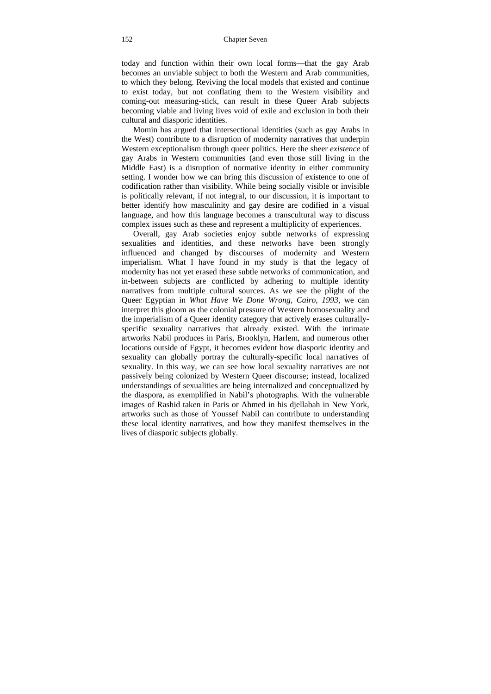today and function within their own local forms—that the gay Arab becomes an unviable subject to both the Western and Arab communities, to which they belong. Reviving the local models that existed and continue to exist today, but not conflating them to the Western visibility and coming-out measuring-stick, can result in these Queer Arab subjects becoming viable and living lives void of exile and exclusion in both their cultural and diasporic identities.

Momin has argued that intersectional identities (such as gay Arabs in the West) contribute to a disruption of modernity narratives that underpin Western exceptionalism through queer politics. Here the sheer *existence* of gay Arabs in Western communities (and even those still living in the Middle East) is a disruption of normative identity in either community setting. I wonder how we can bring this discussion of existence to one of codification rather than visibility. While being socially visible or invisible is politically relevant, if not integral, to our discussion, it is important to better identify how masculinity and gay desire are codified in a visual language, and how this language becomes a transcultural way to discuss complex issues such as these and represent a multiplicity of experiences.

Overall, gay Arab societies enjoy subtle networks of expressing sexualities and identities, and these networks have been strongly influenced and changed by discourses of modernity and Western imperialism. What I have found in my study is that the legacy of modernity has not yet erased these subtle networks of communication, and in-between subjects are conflicted by adhering to multiple identity narratives from multiple cultural sources. As we see the plight of the Queer Egyptian in *What Have We Done Wrong, Cairo, 1993*, we can interpret this gloom as the colonial pressure of Western homosexuality and the imperialism of a Queer identity category that actively erases culturallyspecific sexuality narratives that already existed. With the intimate artworks Nabil produces in Paris, Brooklyn, Harlem, and numerous other locations outside of Egypt, it becomes evident how diasporic identity and sexuality can globally portray the culturally-specific local narratives of sexuality. In this way, we can see how local sexuality narratives are not passively being colonized by Western Queer discourse; instead, localized understandings of sexualities are being internalized and conceptualized by the diaspora, as exemplified in Nabil's photographs. With the vulnerable images of Rashid taken in Paris or Ahmed in his djellabah in New York, artworks such as those of Youssef Nabil can contribute to understanding these local identity narratives, and how they manifest themselves in the lives of diasporic subjects globally.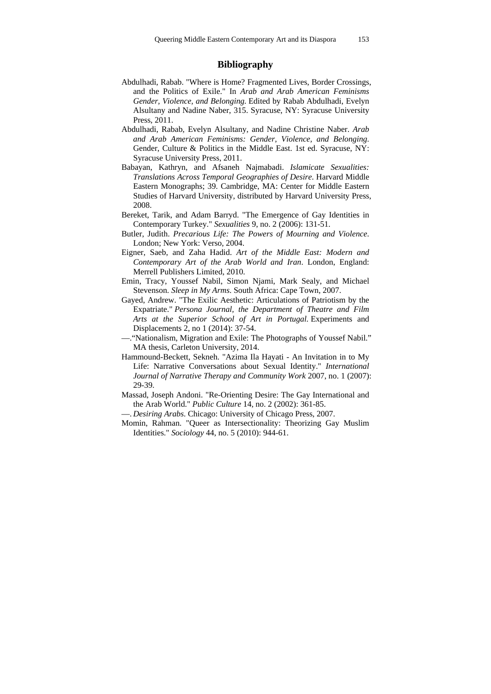### **Bibliography**

- Abdulhadi, Rabab. "Where is Home? Fragmented Lives, Border Crossings, and the Politics of Exile." In *Arab and Arab American Feminisms Gender, Violence, and Belonging.* Edited by Rabab Abdulhadi, Evelyn Alsultany and Nadine Naber, 315. Syracuse, NY: Syracuse University Press, 2011.
- Abdulhadi, Rabab, Evelyn Alsultany, and Nadine Christine Naber. *Arab and Arab American Feminisms: Gender, Violence, and Belonging*. Gender, Culture & Politics in the Middle East. 1st ed. Syracuse, NY: Syracuse University Press, 2011.
- Babayan, Kathryn, and Afsaneh Najmabadi. *Islamicate Sexualities: Translations Across Temporal Geographies of Desire*. Harvard Middle Eastern Monographs; 39. Cambridge, MA: Center for Middle Eastern Studies of Harvard University, distributed by Harvard University Press, 2008.
- Bereket, Tarik, and Adam Barryd. "The Emergence of Gay Identities in Contemporary Turkey." *Sexualities* 9, no. 2 (2006): 131-51.
- Butler, Judith. *Precarious Life: The Powers of Mourning and Violence*. London; New York: Verso, 2004.
- Eigner, Saeb, and Zaha Hadid. *Art of the Middle East: Modern and Contemporary Art of the Arab World and Iran*. London, England: Merrell Publishers Limited, 2010.
- Emin, Tracy, Youssef Nabil, Simon Njami, Mark Sealy, and Michael Stevenson. *Sleep in My Arms*. South Africa: Cape Town, 2007.
- Gayed, Andrew. "The Exilic Aesthetic: Articulations of Patriotism by the Expatriate." *Persona Journal, the Department of Theatre and Film Arts at the Superior School of Art in Portugal.* Experiments and Displacements 2, no 1 (2014): 37-54.
- —."Nationalism, Migration and Exile: The Photographs of Youssef Nabil." MA thesis, Carleton University, 2014.
- Hammound-Beckett, Sekneh. "Azima Ila Hayati An Invitation in to My Life: Narrative Conversations about Sexual Identity." *International Journal of Narrative Therapy and Community Work* 2007, no. 1 (2007): 29-39.
- Massad, Joseph Andoni. "Re-Orienting Desire: The Gay International and the Arab World." *Public Culture* 14, no. 2 (2002): 361-85.
- —. *Desiring Arabs*. Chicago: University of Chicago Press, 2007.
- Momin, Rahman. "Queer as Intersectionality: Theorizing Gay Muslim Identities." *Sociology* 44, no. 5 (2010): 944-61.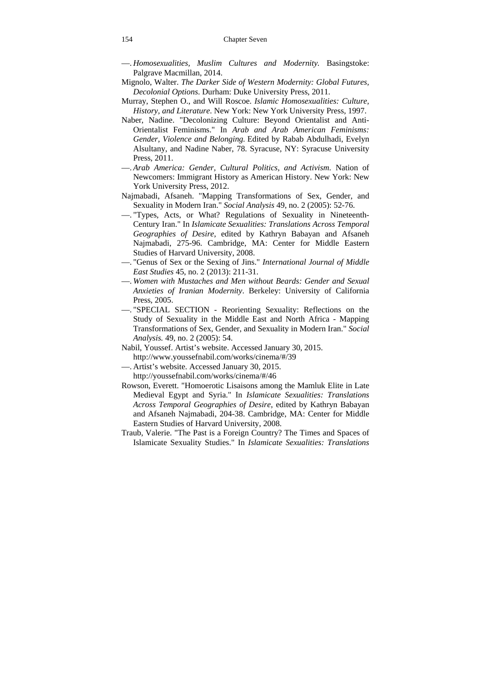- —. *Homosexualities, Muslim Cultures and Modernity.* Basingstoke: Palgrave Macmillan, 2014.
- Mignolo, Walter. *The Darker Side of Western Modernity: Global Futures, Decolonial Options*. Durham: Duke University Press, 2011.
- Murray, Stephen O., and Will Roscoe. *Islamic Homosexualities: Culture, History, and Literature*. New York: New York University Press, 1997.
- Naber, Nadine. "Decolonizing Culture: Beyond Orientalist and Anti-Orientalist Feminisms." In *Arab and Arab American Feminisms: Gender, Violence and Belonging.* Edited by Rabab Abdulhadi, Evelyn Alsultany, and Nadine Naber, 78. Syracuse, NY: Syracuse University Press, 2011.
- —. *Arab America: Gender, Cultural Politics, and Activism*. Nation of Newcomers: Immigrant History as American History. New York: New York University Press, 2012.
- Najmabadi, Afsaneh. "Mapping Transformations of Sex, Gender, and Sexuality in Modern Iran." *Social Analysis* 49, no. 2 (2005): 52-76.
- —. "Types, Acts, or What? Regulations of Sexuality in Nineteenth-Century Iran." In *Islamicate Sexualities: Translations Across Temporal Geographies of Desire*, edited by Kathryn Babayan and Afsaneh Najmabadi, 275-96. Cambridge, MA: Center for Middle Eastern Studies of Harvard University, 2008.
- —. "Genus of Sex or the Sexing of Jins." *International Journal of Middle East Studies* 45, no. 2 (2013): 211-31.
- —. *Women with Mustaches and Men without Beards: Gender and Sexual Anxieties of Iranian Modernity*. Berkeley: University of California Press, 2005.
- —. "SPECIAL SECTION Reorienting Sexuality: Reflections on the Study of Sexuality in the Middle East and North Africa - Mapping Transformations of Sex, Gender, and Sexuality in Modern Iran." *Social Analysis.* 49, no. 2 (2005): 54.
- Nabil, Youssef. Artist's website. Accessed January 30, 2015. http://www.youssefnabil.com/works/cinema/#/39
- —. Artist's website. Accessed January 30, 2015. http://youssefnabil.com/works/cinema/#/46
- Rowson, Everett. "Homoerotic Lisaisons among the Mamluk Elite in Late Medieval Egypt and Syria." In *Islamicate Sexualities: Translations Across Temporal Geographies of Desire*, edited by Kathryn Babayan and Afsaneh Najmabadi, 204-38. Cambridge, MA: Center for Middle Eastern Studies of Harvard University, 2008.
- Traub, Valerie. "The Past is a Foreign Country? The Times and Spaces of Islamicate Sexuality Studies." In *Islamicate Sexualities: Translations*